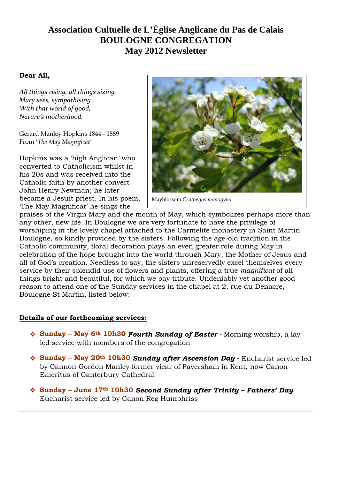# **Association Cultuelle de L'Église Anglicane du Pas de Calais BOULOGNE CONGREGATION May 2012 Newsletter**

## **Dear All,**

*All things rising, all things sizing Mary sees, sympathising With that world of good, Nature's motherhood.*

Gerard Manley Hopkins 1844 - 1889 From **'***The May* M*agnificat'*

Hopkins was a 'high Anglican' who converted to Catholicism whilst in his 20s and was received into the Catholic faith by another convert John Henry Newman; he later became a Jesuit priest. In his poem, 'The May Magnificat' he sings the



Mayblossom *Crataegus monogyna*

praises of the Virgin Mary and the month of May, which symbolizes perhaps more than any other, new life. In Boulogne we are very fortunate to have the privilege of worshiping in the lovely chapel attached to the Carmelite monastery in Saint Martin Boulogne, so kindly provided by the sisters. Following the age-old tradition in the Catholic community, floral decoration plays an even greater role during May in celebration of the hope brought into the world through Mary, the Mother of Jesus and all of God's creation. Needless to say, the sisters unreservedly excel themselves every service by their splendid use of flowers and plants, offering a true *magnificat* of all things bright and beautiful, for which we pay tribute. Undeniably yet another good reason to attend one of the Sunday services in the chapel at 2, rue du Denacre, Boulogne St Martin, listed below:

## **Details of our forthcoming services:**

- **Sunday May 6th 10h30** *Fourth Sunday of Easter -* Morning worship, a layled service with members of the congregation
- **Sunday May 20th 10h30** *Sunday after Ascension Day* **-** Eucharist service led by Cannon Gordon Manley former vicar of Faversham in Kent, now Canon Emeritus of Canterbury Cathedral
- **Sunday June 17th 10h30** *Second Sunday after Trinity – Fathers' Day* Eucharist service led by Canon Reg Humphriss